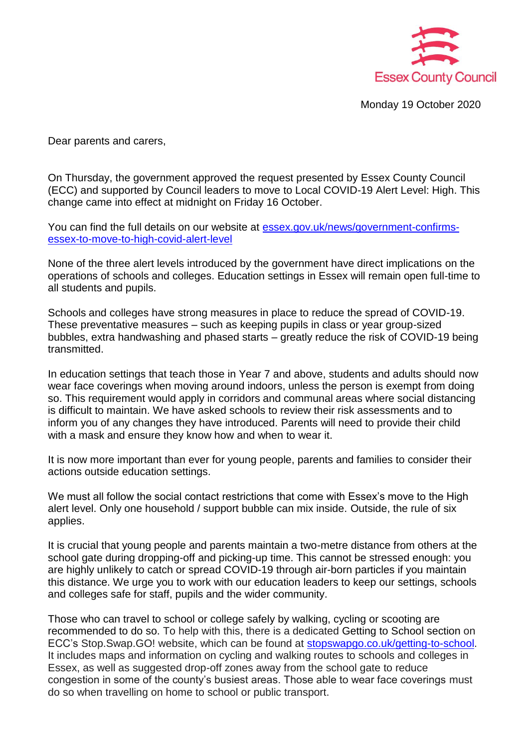

Monday 19 October 2020

Dear parents and carers,

On Thursday, the government approved the request presented by Essex County Council (ECC) and supported by Council leaders to move to Local COVID-19 Alert Level: High. This change came into effect at midnight on Friday 16 October.

You can find the full details on our website at **essex.gov.uk/news/government-confirms**[essex-to-move-to-high-covid-alert-level](https://www.essex.gov.uk/news/government-confirms-essex-to-move-to-high-covid-alert-level)

None of the three alert levels introduced by the government have direct implications on the operations of schools and colleges. Education settings in Essex will remain open full-time to all students and pupils.

Schools and colleges have strong measures in place to reduce the spread of COVID-19. These preventative measures – such as keeping pupils in class or year group-sized bubbles, extra handwashing and phased starts – greatly reduce the risk of COVID-19 being transmitted.

In education settings that teach those in Year 7 and above, students and adults should now wear face coverings when moving around indoors, unless the person is exempt from doing so. This requirement would apply in corridors and communal areas where social distancing is difficult to maintain. We have asked schools to review their risk assessments and to inform you of any changes they have introduced. Parents will need to provide their child with a mask and ensure they know how and when to wear it.

It is now more important than ever for young people, parents and families to consider their actions outside education settings.

We must all follow the social contact restrictions that come with Essex's move to the High alert level. Only one household / support bubble can mix inside. Outside, the rule of six applies.

It is crucial that young people and parents maintain a two-metre distance from others at the school gate during dropping-off and picking-up time. This cannot be stressed enough: you are highly unlikely to catch or spread COVID-19 through air-born particles if you maintain this distance. We urge you to work with our education leaders to keep our settings, schools and colleges safe for staff, pupils and the wider community.

Those who can travel to school or college safely by walking, cycling or scooting are recommended to do so. To help with this, there is a dedicated Getting to School section on ECC's Stop.Swap.GO! website, which can be found at [stopswapgo.co.uk/getting-to-school.](https://eur02.safelinks.protection.outlook.com/?url=https%3A%2F%2Fwww.stopswapgo.co.uk%2Fgetting-to-school&data=04%7C01%7C%7Cce013d080e094ecf312108d871030bc1%7Ca8b4324f155c4215a0f17ed8cc9a992f%7C0%7C0%7C637383605179422724%7CUnknown%7CTWFpbGZsb3d8eyJWIjoiMC4wLjAwMDAiLCJQIjoiV2luMzIiLCJBTiI6Ik1haWwiLCJXVCI6Mn0%3D%7C1000&sdata=bKfM1rF4Cw2MKFNqlCmXonk736LJ8h%2FJ3q5Vtz3VlPk%3D&reserved=0) It includes maps and information on cycling and walking routes to schools and colleges in Essex, as well as suggested drop-off zones away from the school gate to reduce congestion in some of the county's busiest areas. Those able to wear face coverings must do so when travelling on home to school or public transport.